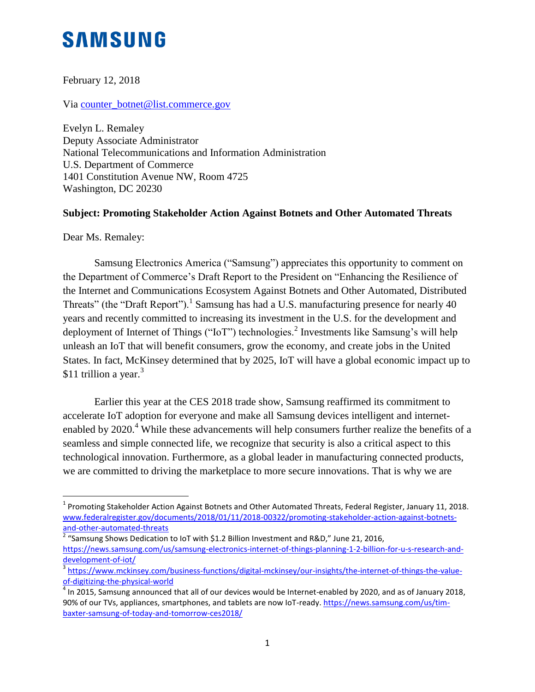## **SAMSUNG**

February 12, 2018

Via [counter\\_botnet@list.commerce.gov](mailto:counter_botnet@list.commerce.gov)

Evelyn L. Remaley Deputy Associate Administrator National Telecommunications and Information Administration U.S. Department of Commerce 1401 Constitution Avenue NW, Room 4725 Washington, DC 20230

## **Subject: Promoting Stakeholder Action Against Botnets and Other Automated Threats**

Dear Ms. Remaley:

 $\overline{\phantom{a}}$ 

Samsung Electronics America ("Samsung") appreciates this opportunity to comment on the Department of Commerce's Draft Report to the President on "Enhancing the Resilience of the Internet and Communications Ecosystem Against Botnets and Other Automated, Distributed Threats" (the "Draft Report").<sup>1</sup> Samsung has had a U.S. manufacturing presence for nearly 40 years and recently committed to increasing its investment in the U.S. for the development and deployment of Internet of Things ("IoT") technologies.<sup>2</sup> Investments like Samsung's will help unleash an IoT that will benefit consumers, grow the economy, and create jobs in the United States. In fact, McKinsey determined that by 2025, IoT will have a global economic impact up to \$11 trillion a year. $3$ 

Earlier this year at the CES 2018 trade show, Samsung reaffirmed its commitment to accelerate IoT adoption for everyone and make all Samsung devices intelligent and internetenabled by 2020.<sup>4</sup> While these advancements will help consumers further realize the benefits of a seamless and simple connected life, we recognize that security is also a critical aspect to this technological innovation. Furthermore, as a global leader in manufacturing connected products, we are committed to driving the marketplace to more secure innovations. That is why we are

<sup>2</sup> "Samsung Shows Dedication to IoT with \$1.2 Billion Investment and R&D," June 21, 2016, [https://news.samsung.com/us/samsung-electronics-internet-of-things-planning-1-2-billion-for-u-s-research-and](https://news.samsung.com/us/samsung-electronics-internet-of-things-planning-1-2-billion-for-u-s-research-and-development-of-iot/)[development-of-iot/](https://news.samsung.com/us/samsung-electronics-internet-of-things-planning-1-2-billion-for-u-s-research-and-development-of-iot/)

 $^{\text{1}}$  Promoting Stakeholder Action Against Botnets and Other Automated Threats, Federal Register, January 11, 2018. [www.federalregister.gov/documents/2018/01/11/2018-00322/promoting-stakeholder-action-against-botnets](http://www.federalregister.gov/documents/2018/01/11/2018-00322/promoting-stakeholder-action-against-botnets-and-other-automated-threats)[and-other-automated-threats](http://www.federalregister.gov/documents/2018/01/11/2018-00322/promoting-stakeholder-action-against-botnets-and-other-automated-threats)

<sup>&</sup>lt;sup>3</sup> [https://www.mckinsey.com/business-functions/digital-mckinsey/our-insights/the-internet-of-things-the-value](https://www.mckinsey.com/business-functions/digital-mckinsey/our-insights/the-internet-of-things-the-value-of-digitizing-the-physical-world)[of-digitizing-the-physical-world](https://www.mckinsey.com/business-functions/digital-mckinsey/our-insights/the-internet-of-things-the-value-of-digitizing-the-physical-world)

 $^4$  In 2015, Samsung announced that all of our devices would be Internet-enabled by 2020, and as of January 2018, 90% of our TVs, appliances, smartphones, and tablets are now IoT-ready. [https://news.samsung.com/us/tim](https://news.samsung.com/us/tim-baxter-samsung-of-today-and-tomorrow-ces2018/)[baxter-samsung-of-today-and-tomorrow-ces2018/](https://news.samsung.com/us/tim-baxter-samsung-of-today-and-tomorrow-ces2018/)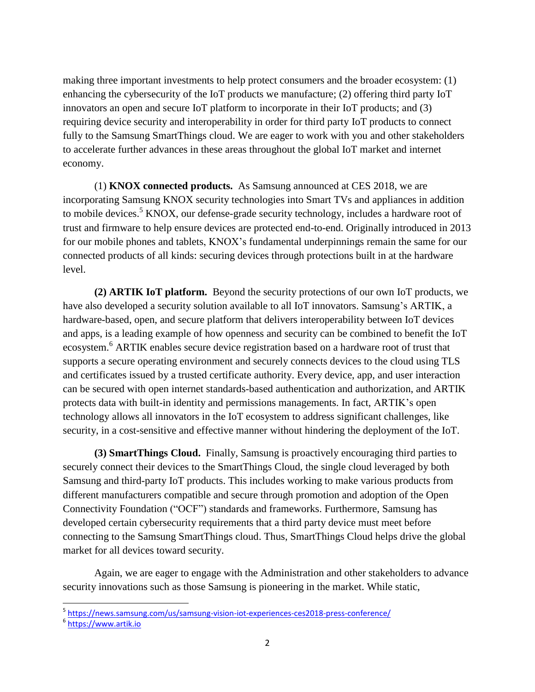making three important investments to help protect consumers and the broader ecosystem: (1) enhancing the cybersecurity of the IoT products we manufacture; (2) offering third party IoT innovators an open and secure IoT platform to incorporate in their IoT products; and (3) requiring device security and interoperability in order for third party IoT products to connect fully to the Samsung SmartThings cloud. We are eager to work with you and other stakeholders to accelerate further advances in these areas throughout the global IoT market and internet economy.

(1) **KNOX connected products.** As Samsung announced at CES 2018, we are incorporating Samsung KNOX security technologies into Smart TVs and appliances in addition to mobile devices.<sup>5</sup> KNOX, our defense-grade security technology, includes a hardware root of trust and firmware to help ensure devices are protected end-to-end. Originally introduced in 2013 for our mobile phones and tablets, KNOX's fundamental underpinnings remain the same for our connected products of all kinds: securing devices through protections built in at the hardware level.

**(2) ARTIK IoT platform.** Beyond the security protections of our own IoT products, we have also developed a security solution available to all IoT innovators. Samsung's ARTIK, a hardware-based, open, and secure platform that delivers interoperability between IoT devices and apps, is a leading example of how openness and security can be combined to benefit the IoT ecosystem.<sup>6</sup> ARTIK enables secure device registration based on a hardware root of trust that supports a secure operating environment and securely connects devices to the cloud using TLS and certificates issued by a trusted certificate authority. Every device, app, and user interaction can be secured with open internet standards-based authentication and authorization, and ARTIK protects data with built-in identity and permissions managements. In fact, ARTIK's open technology allows all innovators in the IoT ecosystem to address significant challenges, like security, in a cost-sensitive and effective manner without hindering the deployment of the IoT.

**(3) SmartThings Cloud.** Finally, Samsung is proactively encouraging third parties to securely connect their devices to the SmartThings Cloud, the single cloud leveraged by both Samsung and third-party IoT products. This includes working to make various products from different manufacturers compatible and secure through promotion and adoption of the Open Connectivity Foundation ("OCF") standards and frameworks. Furthermore, Samsung has developed certain cybersecurity requirements that a third party device must meet before connecting to the Samsung SmartThings cloud. Thus, SmartThings Cloud helps drive the global market for all devices toward security.

Again, we are eager to engage with the Administration and other stakeholders to advance security innovations such as those Samsung is pioneering in the market. While static,

l

<sup>&</sup>lt;sup>5</sup> <https://news.samsung.com/us/samsung-vision-iot-experiences-ces2018-press-conference/>

<sup>&</sup>lt;sup>6</sup> [https://www.artik.io](https://www.artik.io/)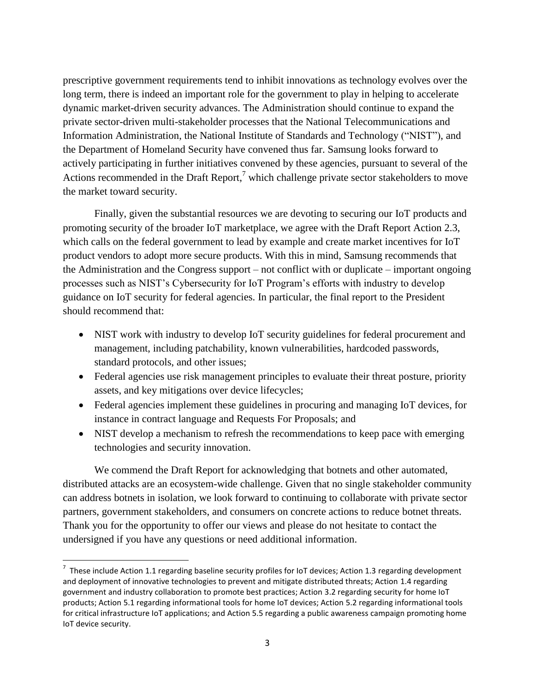prescriptive government requirements tend to inhibit innovations as technology evolves over the long term, there is indeed an important role for the government to play in helping to accelerate dynamic market-driven security advances. The Administration should continue to expand the private sector-driven multi-stakeholder processes that the National Telecommunications and Information Administration, the National Institute of Standards and Technology ("NIST"), and the Department of Homeland Security have convened thus far. Samsung looks forward to actively participating in further initiatives convened by these agencies, pursuant to several of the Actions recommended in the Draft Report,<sup>7</sup> which challenge private sector stakeholders to move the market toward security.

Finally, given the substantial resources we are devoting to securing our IoT products and promoting security of the broader IoT marketplace, we agree with the Draft Report Action 2.3, which calls on the federal government to lead by example and create market incentives for IoT product vendors to adopt more secure products. With this in mind, Samsung recommends that the Administration and the Congress support – not conflict with or duplicate – important ongoing processes such as NIST's Cybersecurity for IoT Program's efforts with industry to develop guidance on IoT security for federal agencies. In particular, the final report to the President should recommend that:

- NIST work with industry to develop IoT security guidelines for federal procurement and management, including patchability, known vulnerabilities, hardcoded passwords, standard protocols, and other issues;
- Federal agencies use risk management principles to evaluate their threat posture, priority assets, and key mitigations over device lifecycles;
- Federal agencies implement these guidelines in procuring and managing IoT devices, for instance in contract language and Requests For Proposals; and
- NIST develop a mechanism to refresh the recommendations to keep pace with emerging technologies and security innovation.

We commend the Draft Report for acknowledging that botnets and other automated, distributed attacks are an ecosystem-wide challenge. Given that no single stakeholder community can address botnets in isolation, we look forward to continuing to collaborate with private sector partners, government stakeholders, and consumers on concrete actions to reduce botnet threats. Thank you for the opportunity to offer our views and please do not hesitate to contact the undersigned if you have any questions or need additional information.

 $\overline{a}$ 

<sup>&</sup>lt;sup>7</sup> These include Action 1.1 regarding baseline security profiles for IoT devices; Action 1.3 regarding development and deployment of innovative technologies to prevent and mitigate distributed threats; Action 1.4 regarding government and industry collaboration to promote best practices; Action 3.2 regarding security for home IoT products; Action 5.1 regarding informational tools for home IoT devices; Action 5.2 regarding informational tools for critical infrastructure IoT applications; and Action 5.5 regarding a public awareness campaign promoting home IoT device security.